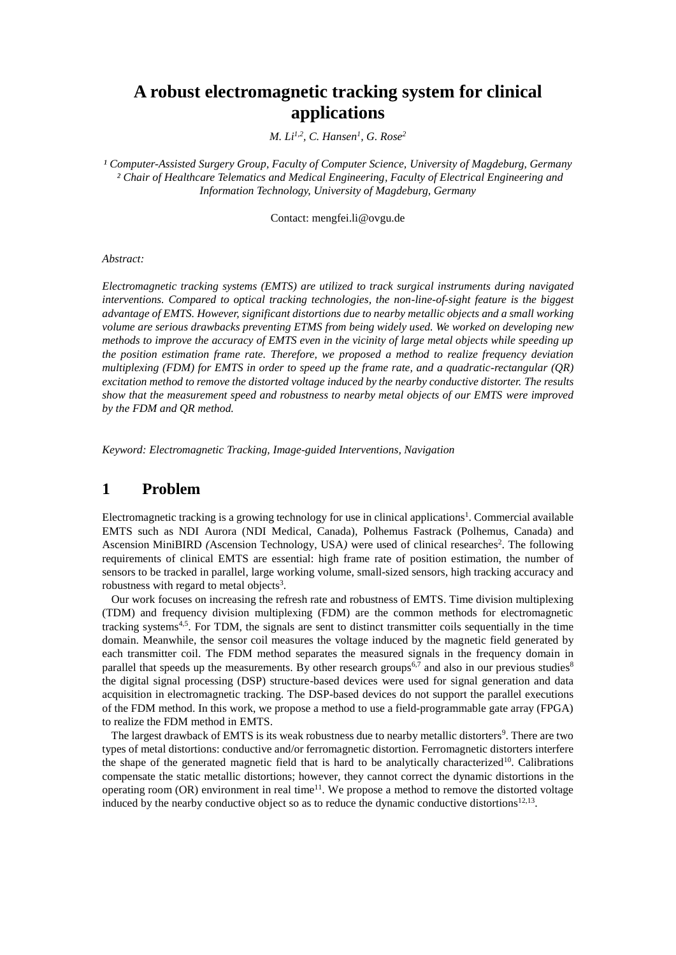# **A robust electromagnetic tracking system for clinical applications**

*M. Li1,2, C. Hansen<sup>1</sup> , G. Rose<sup>2</sup>*

*¹ Computer-Assisted Surgery Group, Faculty of Computer Science, University of Magdeburg, Germany ² Chair of Healthcare Telematics and Medical Engineering, Faculty of Electrical Engineering and Information Technology, University of Magdeburg, Germany*

Contact: mengfei.li@ovgu.de

#### *Abstract:*

*Electromagnetic tracking systems (EMTS) are utilized to track surgical instruments during navigated interventions. Compared to optical tracking technologies, the non-line-of-sight feature is the biggest advantage of EMTS. However, significant distortions due to nearby metallic objects and a small working volume are serious drawbacks preventing ETMS from being widely used. We worked on developing new methods to improve the accuracy of EMTS even in the vicinity of large metal objects while speeding up the position estimation frame rate. Therefore, we proposed a method to realize frequency deviation multiplexing (FDM) for EMTS in order to speed up the frame rate, and a quadratic-rectangular (QR) excitation method to remove the distorted voltage induced by the nearby conductive distorter. The results show that the measurement speed and robustness to nearby metal objects of our EMTS were improved by the FDM and QR method.*

*Keyword: Electromagnetic Tracking, Image-guided Interventions, Navigation*

### **1 Problem**

Electromagnetic tracking is a growing technology for use in clinical applications<sup>1</sup>. Commercial available EMTS such as NDI Aurora (NDI Medical, Canada), Polhemus Fastrack (Polhemus, Canada) and Ascension MiniBIRD (Ascension Technology, USA) were used of clinical researches<sup>2</sup>. The following requirements of clinical EMTS are essential: high frame rate of position estimation, the number of sensors to be tracked in parallel, large working volume, small-sized sensors, high tracking accuracy and robustness with regard to metal objects<sup>3</sup>.

 Our work focuses on increasing the refresh rate and robustness of EMTS. Time division multiplexing (TDM) and frequency division multiplexing (FDM) are the common methods for electromagnetic tracking systems<sup>4,5</sup>. For TDM, the signals are sent to distinct transmitter coils sequentially in the time domain. Meanwhile, the sensor coil measures the voltage induced by the magnetic field generated by each transmitter coil. The FDM method separates the measured signals in the frequency domain in parallel that speeds up the measurements. By other research groups<sup>6,7</sup> and also in our previous studies<sup>8</sup> the digital signal processing (DSP) structure-based devices were used for signal generation and data acquisition in electromagnetic tracking. The DSP-based devices do not support the parallel executions of the FDM method. In this work, we propose a method to use a field-programmable gate array (FPGA) to realize the FDM method in EMTS.

The largest drawback of EMTS is its weak robustness due to nearby metallic distorters<sup>9</sup>. There are two types of metal distortions: conductive and/or ferromagnetic distortion. Ferromagnetic distorters interfere the shape of the generated magnetic field that is hard to be analytically characterized<sup>10</sup>. Calibrations compensate the static metallic distortions; however, they cannot correct the dynamic distortions in the operating room  $(OR)$  environment in real time<sup>11</sup>. We propose a method to remove the distorted voltage induced by the nearby conductive object so as to reduce the dynamic conductive distortions<sup>12,13</sup>.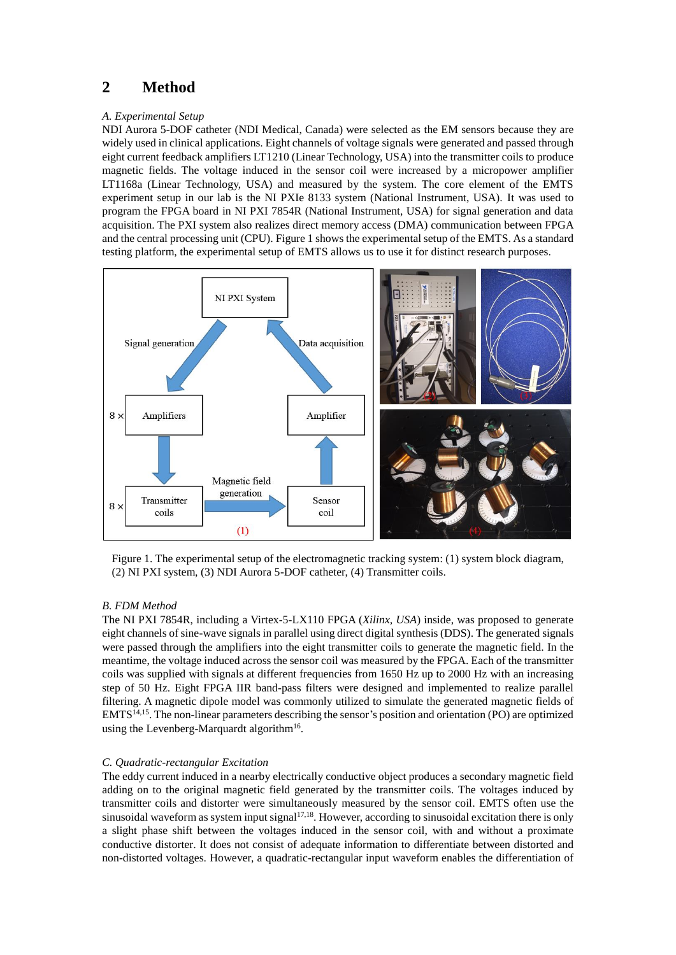## **2 Method**

#### *A. Experimental Setup*

NDI Aurora 5-DOF catheter (NDI Medical, Canada) were selected as the EM sensors because they are widely used in clinical applications. Eight channels of voltage signals were generated and passed through eight current feedback amplifiers LT1210 (Linear Technology, USA) into the transmitter coils to produce magnetic fields. The voltage induced in the sensor coil were increased by a micropower amplifier LT1168a (Linear Technology, USA) and measured by the system. The core element of the EMTS experiment setup in our lab is the NI PXIe 8133 system (National Instrument, USA). It was used to program the FPGA board in NI PXI 7854R (National Instrument, USA) for signal generation and data acquisition. The PXI system also realizes direct memory access (DMA) communication between FPGA and the central processing unit (CPU). Figure 1 shows the experimental setup of the EMTS. As a standard testing platform, the experimental setup of EMTS allows us to use it for distinct research purposes.



Figure 1. The experimental setup of the electromagnetic tracking system: (1) system block diagram, (2) NI PXI system, (3) NDI Aurora 5-DOF catheter, (4) Transmitter coils.

#### *B. FDM Method*

The NI PXI 7854R, including a Virtex-5-LX110 FPGA (*Xilinx, USA*) inside, was proposed to generate eight channels of sine-wave signals in parallel using direct digital synthesis (DDS). The generated signals were passed through the amplifiers into the eight transmitter coils to generate the magnetic field. In the meantime, the voltage induced across the sensor coil was measured by the FPGA. Each of the transmitter coils was supplied with signals at different frequencies from 1650 Hz up to 2000 Hz with an increasing step of 50 Hz. Eight FPGA IIR band-pass filters were designed and implemented to realize parallel filtering. A magnetic dipole model was commonly utilized to simulate the generated magnetic fields of EMTS<sup>14,15</sup>. The non-linear parameters describing the sensor's position and orientation (PO) are optimized using the Levenberg-Marquardt algorithm<sup>16</sup>.

#### *C. Quadratic-rectangular Excitation*

The eddy current induced in a nearby electrically conductive object produces a secondary magnetic field adding on to the original magnetic field generated by the transmitter coils. The voltages induced by transmitter coils and distorter were simultaneously measured by the sensor coil. EMTS often use the sinusoidal waveform as system input signal<sup>17,18</sup>. However, according to sinusoidal excitation there is only a slight phase shift between the voltages induced in the sensor coil, with and without a proximate conductive distorter. It does not consist of adequate information to differentiate between distorted and non-distorted voltages. However, a quadratic-rectangular input waveform enables the differentiation of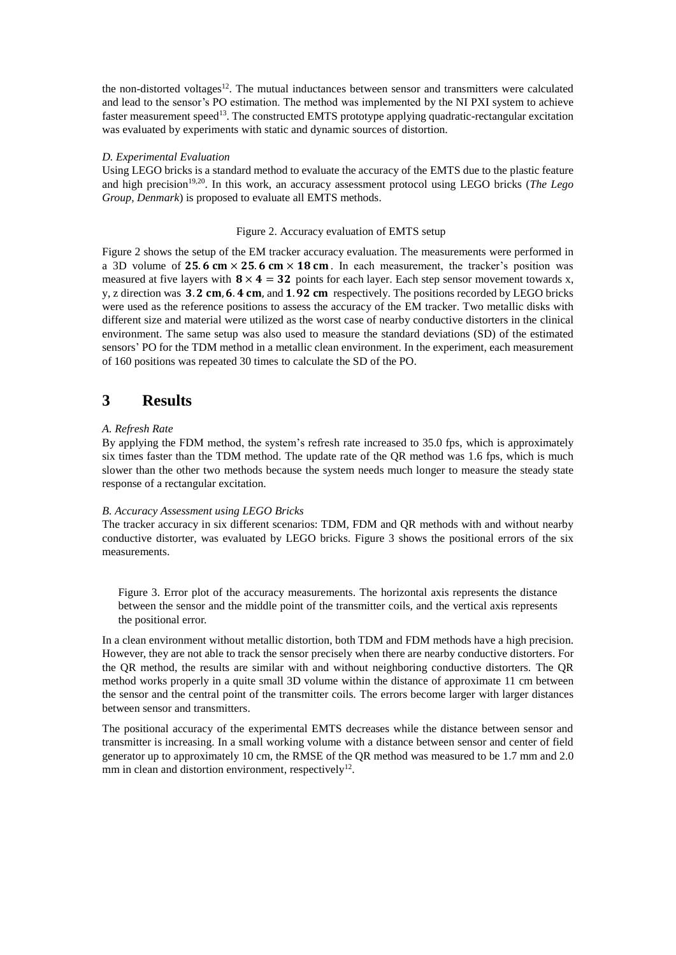the non-distorted voltages<sup>12</sup>. The mutual inductances between sensor and transmitters were calculated and lead to the sensor's PO estimation. The method was implemented by the NI PXI system to achieve faster measurement speed<sup>13</sup>. The constructed EMTS prototype applying quadratic-rectangular excitation was evaluated by experiments with static and dynamic sources of distortion.

#### *D. Experimental Evaluation*

Using LEGO bricks is a standard method to evaluate the accuracy of the EMTS due to the plastic feature and high precision<sup>19,20</sup>. In this work, an accuracy assessment protocol using LEGO bricks (*The Lego Group, Denmark*) is proposed to evaluate all EMTS methods.

#### Figure 2. Accuracy evaluation of EMTS setup

Figure 2 shows the setup of the EM tracker accuracy evaluation. The measurements were performed in a 3D volume of 25.6 cm  $\times$  25.6 cm  $\times$  18 cm. In each measurement, the tracker's position was measured at five layers with  $8 \times 4 = 32$  points for each layer. Each step sensor movement towards x, y, z direction was  $3.2$  cm, 6.4 cm, and 1.92 cm respectively. The positions recorded by LEGO bricks were used as the reference positions to assess the accuracy of the EM tracker. Two metallic disks with different size and material were utilized as the worst case of nearby conductive distorters in the clinical environment. The same setup was also used to measure the standard deviations (SD) of the estimated sensors' PO for the TDM method in a metallic clean environment. In the experiment, each measurement of 160 positions was repeated 30 times to calculate the SD of the PO.

### **3 Results**

#### *A. Refresh Rate*

By applying the FDM method, the system's refresh rate increased to 35.0 fps, which is approximately six times faster than the TDM method. The update rate of the QR method was 1.6 fps, which is much slower than the other two methods because the system needs much longer to measure the steady state response of a rectangular excitation.

#### *B. Accuracy Assessment using LEGO Bricks*

The tracker accuracy in six different scenarios: TDM, FDM and QR methods with and without nearby conductive distorter, was evaluated by LEGO bricks. Figure 3 shows the positional errors of the six measurements.

Figure 3. Error plot of the accuracy measurements. The horizontal axis represents the distance between the sensor and the middle point of the transmitter coils, and the vertical axis represents the positional error.

In a clean environment without metallic distortion, both TDM and FDM methods have a high precision. However, they are not able to track the sensor precisely when there are nearby conductive distorters. For the QR method, the results are similar with and without neighboring conductive distorters. The QR method works properly in a quite small 3D volume within the distance of approximate 11 cm between the sensor and the central point of the transmitter coils. The errors become larger with larger distances between sensor and transmitters.

The positional accuracy of the experimental EMTS decreases while the distance between sensor and transmitter is increasing. In a small working volume with a distance between sensor and center of field generator up to approximately 10 cm, the RMSE of the QR method was measured to be 1.7 mm and 2.0 mm in clean and distortion environment, respectively<sup>12</sup>.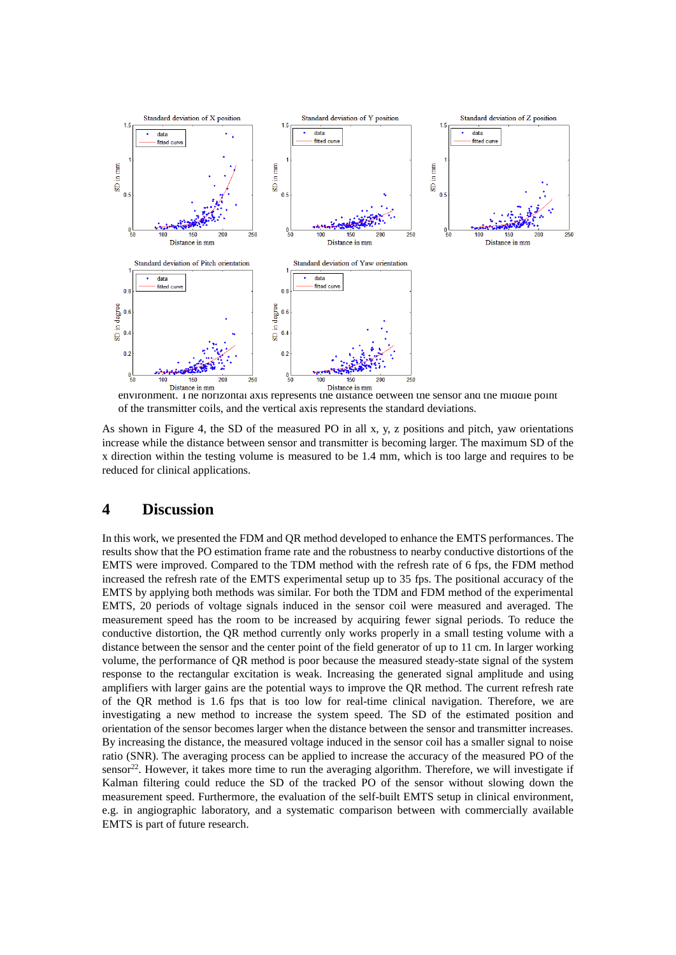

environment. The horizontal axis represents the distance between the sensor and the middle point of the transmitter coils, and the vertical axis represents the standard deviations.

As shown in Figure 4, the SD of the measured PO in all x, y, z positions and pitch, yaw orientations increase while the distance between sensor and transmitter is becoming larger. The maximum SD of the x direction within the testing volume is measured to be 1.4 mm, which is too large and requires to be reduced for clinical applications.

### **4 Discussion**

In this work, we presented the FDM and QR method developed to enhance the EMTS performances. The results show that the PO estimation frame rate and the robustness to nearby conductive distortions of the EMTS were improved. Compared to the TDM method with the refresh rate of 6 fps, the FDM method increased the refresh rate of the EMTS experimental setup up to 35 fps. The positional accuracy of the EMTS by applying both methods was similar. For both the TDM and FDM method of the experimental EMTS, 20 periods of voltage signals induced in the sensor coil were measured and averaged. The measurement speed has the room to be increased by acquiring fewer signal periods. To reduce the conductive distortion, the QR method currently only works properly in a small testing volume with a distance between the sensor and the center point of the field generator of up to 11 cm. In larger working volume, the performance of QR method is poor because the measured steady-state signal of the system response to the rectangular excitation is weak. Increasing the generated signal amplitude and using amplifiers with larger gains are the potential ways to improve the QR method. The current refresh rate of the QR method is 1.6 fps that is too low for real-time clinical navigation. Therefore, we are investigating a new method to increase the system speed. The SD of the estimated position and orientation of the sensor becomes larger when the distance between the sensor and transmitter increases. By increasing the distance, the measured voltage induced in the sensor coil has a smaller signal to noise ratio (SNR). The averaging process can be applied to increase the accuracy of the measured PO of the sensor<sup>22</sup>. However, it takes more time to run the averaging algorithm. Therefore, we will investigate if Kalman filtering could reduce the SD of the tracked PO of the sensor without slowing down the measurement speed. Furthermore, the evaluation of the self-built EMTS setup in clinical environment, e.g. in angiographic laboratory, and a systematic comparison between with commercially available EMTS is part of future research.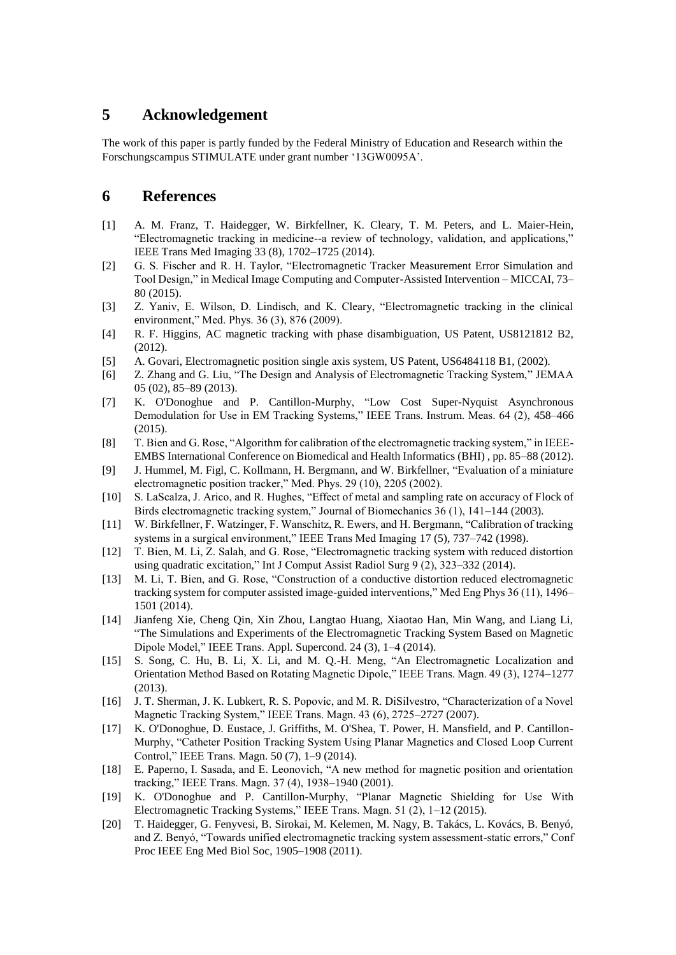### **5 Acknowledgement**

The work of this paper is partly funded by the Federal Ministry of Education and Research within the Forschungscampus STIMULATE under grant number '13GW0095A'.

### **6 References**

- [1] A. M. Franz, T. Haidegger, W. Birkfellner, K. Cleary, T. M. Peters, and L. Maier-Hein, "Electromagnetic tracking in medicine--a review of technology, validation, and applications," IEEE Trans Med Imaging 33 (8), 1702–1725 (2014).
- [2] G. S. Fischer and R. H. Taylor, "Electromagnetic Tracker Measurement Error Simulation and Tool Design," in Medical Image Computing and Computer-Assisted Intervention – MICCAI, 73– 80 (2015).
- [3] Z. Yaniv, E. Wilson, D. Lindisch, and K. Cleary, "Electromagnetic tracking in the clinical environment," Med. Phys. 36 (3), 876 (2009).
- [4] R. F. Higgins, AC magnetic tracking with phase disambiguation, US Patent, US8121812 B2, (2012).
- [5] A. Govari, Electromagnetic position single axis system, US Patent, US6484118 B1, (2002).
- [6] Z. Zhang and G. Liu, "The Design and Analysis of Electromagnetic Tracking System," JEMAA 05 (02), 85–89 (2013).
- [7] K. O'Donoghue and P. Cantillon-Murphy, "Low Cost Super-Nyquist Asynchronous Demodulation for Use in EM Tracking Systems," IEEE Trans. Instrum. Meas. 64 (2), 458–466 (2015).
- [8] T. Bien and G. Rose, "Algorithm for calibration of the electromagnetic tracking system," in IEEE-EMBS International Conference on Biomedical and Health Informatics (BHI) , pp. 85–88 (2012).
- [9] J. Hummel, M. Figl, C. Kollmann, H. Bergmann, and W. Birkfellner, "Evaluation of a miniature electromagnetic position tracker," Med. Phys. 29 (10), 2205 (2002).
- [10] S. LaScalza, J. Arico, and R. Hughes, "Effect of metal and sampling rate on accuracy of Flock of Birds electromagnetic tracking system," Journal of Biomechanics 36 (1), 141–144 (2003).
- [11] W. Birkfellner, F. Watzinger, F. Wanschitz, R. Ewers, and H. Bergmann, "Calibration of tracking systems in a surgical environment," IEEE Trans Med Imaging 17 (5), 737–742 (1998).
- [12] T. Bien, M. Li, Z. Salah, and G. Rose, "Electromagnetic tracking system with reduced distortion using quadratic excitation," Int J Comput Assist Radiol Surg 9 (2), 323–332 (2014).
- [13] M. Li, T. Bien, and G. Rose, "Construction of a conductive distortion reduced electromagnetic tracking system for computer assisted image-guided interventions," Med Eng Phys 36 (11), 1496– 1501 (2014).
- [14] Jianfeng Xie, Cheng Qin, Xin Zhou, Langtao Huang, Xiaotao Han, Min Wang, and Liang Li, "The Simulations and Experiments of the Electromagnetic Tracking System Based on Magnetic Dipole Model," IEEE Trans. Appl. Supercond. 24 (3), 1–4 (2014).
- [15] S. Song, C. Hu, B. Li, X. Li, and M. Q.-H. Meng, "An Electromagnetic Localization and Orientation Method Based on Rotating Magnetic Dipole," IEEE Trans. Magn. 49 (3), 1274–1277 (2013).
- [16] J. T. Sherman, J. K. Lubkert, R. S. Popovic, and M. R. DiSilvestro, "Characterization of a Novel Magnetic Tracking System," IEEE Trans. Magn. 43 (6), 2725–2727 (2007).
- [17] K. O'Donoghue, D. Eustace, J. Griffiths, M. O'Shea, T. Power, H. Mansfield, and P. Cantillon-Murphy, "Catheter Position Tracking System Using Planar Magnetics and Closed Loop Current Control," IEEE Trans. Magn. 50 (7), 1–9 (2014).
- [18] E. Paperno, I. Sasada, and E. Leonovich, "A new method for magnetic position and orientation tracking," IEEE Trans. Magn. 37 (4), 1938–1940 (2001).
- [19] K. O'Donoghue and P. Cantillon-Murphy, "Planar Magnetic Shielding for Use With Electromagnetic Tracking Systems," IEEE Trans. Magn. 51 (2), 1–12 (2015).
- [20] T. Haidegger, G. Fenyvesi, B. Sirokai, M. Kelemen, M. Nagy, B. Takács, L. Kovács, B. Benyó, and Z. Benyó, "Towards unified electromagnetic tracking system assessment-static errors," Conf Proc IEEE Eng Med Biol Soc, 1905–1908 (2011).